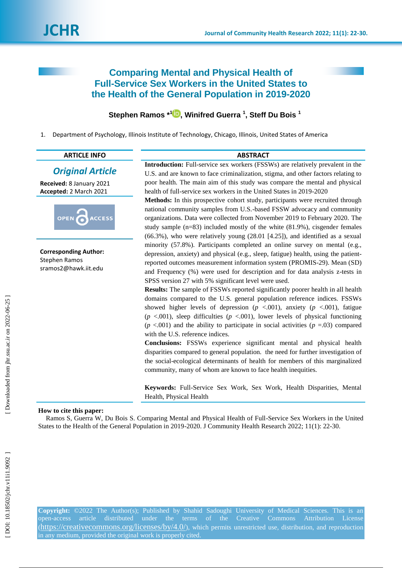# **Comparing Mental and Physical Health of Full -Service Sex Workers in the United States to the Health of the General Population in 2019 -2020**

# **Stephen Ramos \* 1 [,](https://orcid.org/0000-0002-6061-6400) Winifred Guerra 1 , Steff Du Bois 1**

1 . Department of Psychology, Illinois Institute of Technology, Chicago, Illinois, United States of America

|                                                                              | <b>ABSTRACT</b>                                                                                                                                                                                                                                                                                                                                                                                                                                                                            |  |  |  |
|------------------------------------------------------------------------------|--------------------------------------------------------------------------------------------------------------------------------------------------------------------------------------------------------------------------------------------------------------------------------------------------------------------------------------------------------------------------------------------------------------------------------------------------------------------------------------------|--|--|--|
| <b>ARTICLE INFO</b>                                                          |                                                                                                                                                                                                                                                                                                                                                                                                                                                                                            |  |  |  |
| <b>Original Article</b>                                                      | Introduction: Full-service sex workers (FSSWs) are relatively prevalent in the<br>U.S. and are known to face criminalization, stigma, and other factors relating to                                                                                                                                                                                                                                                                                                                        |  |  |  |
| Received: 8 January 2021                                                     | poor health. The main aim of this study was compare the mental and physical                                                                                                                                                                                                                                                                                                                                                                                                                |  |  |  |
| Accepted: 2 March 2021                                                       | health of full-service sex workers in the United States in 2019-2020                                                                                                                                                                                                                                                                                                                                                                                                                       |  |  |  |
| OPEN<br><b>ACCESS</b>                                                        | Methods: In this prospective cohort study, participants were recruited through<br>national community samples from U.S.-based FSSW advocacy and community<br>organizations. Data were collected from November 2019 to February 2020. The<br>study sample $(n=83)$ included mostly of the white $(81.9\%)$ , cisgender females<br>$(66.3\%)$ , who were relatively young $(28.01 [4.25])$ , and identified as a sexual                                                                       |  |  |  |
| <b>Corresponding Author:</b><br><b>Stephen Ramos</b><br>sramos2@hawk.iit.edu | minority (57.8%). Participants completed an online survey on mental (e.g.,<br>depression, anxiety) and physical (e.g., sleep, fatigue) health, using the patient-<br>reported outcomes measurement information system (PROMIS-29). Mean (SD)<br>and Frequency (%) were used for description and for data analysis z-tests in<br>SPSS version 27 with 5% significant level were used.                                                                                                       |  |  |  |
|                                                                              | <b>Results:</b> The sample of FSSWs reported significantly poorer health in all health<br>domains compared to the U.S. general population reference indices. FSSWs<br>showed higher levels of depression ( $p \lt 0.001$ ), anxiety ( $p \lt 0.001$ ), fatigue<br>$(p \lt 0.001)$ , sleep difficulties $(p \lt 0.001)$ , lower levels of physical functioning<br>$(p < .001)$ and the ability to participate in social activities $(p = .03)$ compared<br>with the U.S. reference indices. |  |  |  |
|                                                                              | Conclusions: FSSWs experience significant mental and physical health<br>disparities compared to general population. the need for further investigation of<br>the social-ecological determinants of health for members of this marginalized<br>community, many of whom are known to face health inequities.                                                                                                                                                                                 |  |  |  |
|                                                                              | Keywords: Full-Service Sex Work, Sex Work, Health Disparities, Mental<br>Health, Physical Health                                                                                                                                                                                                                                                                                                                                                                                           |  |  |  |
| How to cite this paper:                                                      | Ramos S, Guerra W, Du Bois S. Comparing Mental and Physical Health of Full-Service Sex Workers in the United<br>States to the Health of the General Population in 2019-2020. J Community Health Research 2022; 11(1): 22-30.                                                                                                                                                                                                                                                               |  |  |  |

**Copyright:** ©2022 The Author(s); Published by Shahid Sadoughi University of Medical Sciences. This is an open -access article distributed under the terms of the Creative Commons Attribution License (https://creativecommons.org/licenses/by/4.0/), which permits unrestricted use, distribution, and reproduction in any medium, provided the original work is properly cited.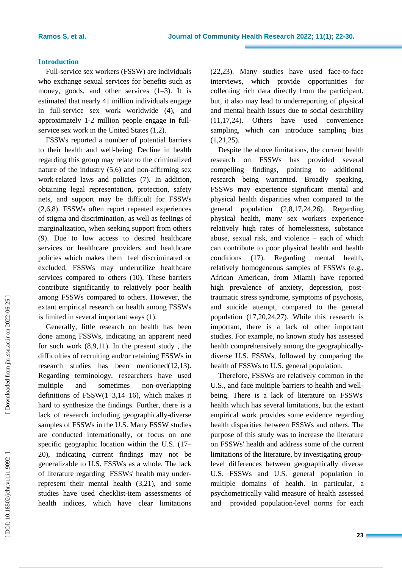#### **Introduction**

Full -service sex workers (FSSW) are individuals who exchange sexual services for benefits such as money, goods, and other services (1 –3). It is estimated that nearly 41 million individuals engage in full -service sex work worldwide (4) , and approximately 1 -2 million people engage in full service sex work in the United States (1,2) .

FSSW s reported a number of potential barriers to their health and well -being. Decline in health regarding this group may relate to the criminalized nature of the industry (5,6) and non -affirming sex work -related laws and policies (7). In addition, obtaining legal representation, protection, safety nets, and support may be difficult for FSSW s (2,6,8) . FSSW s often report repeated experiences of stigma and discrimination, as well as feelings of marginalization , when seeking support from others (9). Due to low access to desired healthcare services or healthcare providers and healthcare policies which makes them feel discriminated or excluded, FSSW s may underutilize healthcare services compared to others (10). These barriers contribute significantly to relatively poor health among FSSW s compared to others. However, the extant empirical research on health among FSSW s is limited in several important ways ( 1 ).

Generally, little research on health has been done among FSSW s , indicating an apparent need for such work (8,9,11). In the present study , the difficulties of recruiting and/or retaining FSSW s in research studies has been mentioned(12,13). Regarding terminology, researchers have used multiple and sometimes non-overlapping definitions of  $FSSW(1-3,14-16)$ , which makes it hard to synthesize the findings. Further, there is a lack of research including geographically -diverse samples of FSSW s in the U.S. Many FSSW studies are conducted internationally , or focus on one specific geographic location within the U.S. (17 – 20) , indicating current findings may not be generalizable to U.S. FSSW s as a whole. The lack of literature regarding FSSW s' health may under represent their mental health (3,21), and some studies have used checklist -item assessments of health indices, which have clear limitations

(22,23). Many studies have used face -to -face interviews, which provide opportunities for collecting rich data directly from the participant, but, it also may lead to underreporting of physical and mental health issues due to social desirability (11,17,24). Others have used convenience sampling , which can introduce sampling bias (1,21,25) .

Despite the above limitations, the current health research on FSSW s has provided several compelling findings , pointing to additional research being warranted. Broadly speaking, FSSW s may experience significant mental and physical health disparities when compared to the general population (2,8,17,24,26) . Regarding physical health, many sex workers experience relatively high rates of homelessness, substance abuse, sexual risk, and violence – each of which can contribute to poor physical health and health conditions (17). . Regarding mental health, relatively homogeneous samples of FSSW s (e.g., African American, from Miami) have reported high prevalence of anxiety, depression, post traumatic stress syndrome, symptoms of psychosis, and suicide attempt, compared to the general population (17,20,24,27) . While this research is important, there is a lack of other important studies. For example, no known study has assessed health comprehensively among the geographically diverse U.S. FSSWs, followed by comparing the health of FSSW s to U.S. general population.

Therefore, FSSW s are relatively common in the U.S., and face multiple barriers to health and well being. There is a lack of literature on FSSWs' health which has several limitations, but the extant empirical work provides some evidence regarding health disparities between FSSW s and others. The purpose of this study was to increase the literature on FSSWs' health and address some of the current limitations of the literature , by investigating group level differences between geographically diverse U.S. FSSW s and U.S. general population in multiple domains of health. In particular, a psychometrically valid measure of health assessed and provided population -level norms for each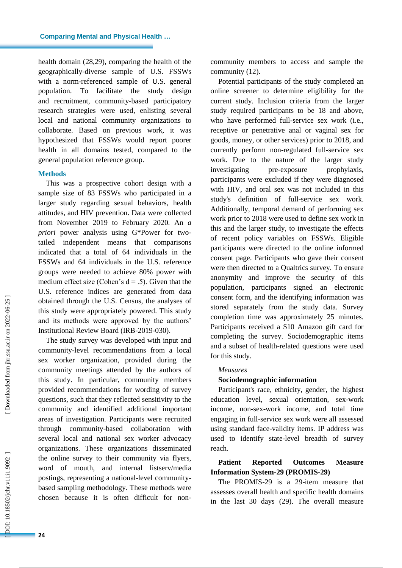health domain (28,29), comparing the health of the geographically -diverse sample of U.S. FSSW s with a norm -reference d sample of U.S. general population . To facilitate the study design and recruitment, community -based participatory research strategies were used, enlisting several local and national community organizations to collaborate. Based on previous work, it was hypothesize d that FSSW s would report poorer health in all domains tested, compared to the general population reference group .

#### **Method s**

This was a prospective cohort design with a sample size of 83 FSSW s who participated in a larger study regarding sexual behaviors, health attitudes, and HIV prevention. Data were collected from November 2019 to February 2020. An *a priori* power analysis using G\*Power for two tailed independent means that comparisons indicated that a total of 64 individuals in the FSSW s and 64 individuals in the U.S. reference group s were needed to achieve 80% power with medium effect size (Cohen's  $d = .5$ ). Given that the U.S. reference indices are generated from data obtained through the U.S. Census, the analyses of this study were appropriately powered. This study and its methods were approved by the authors' Institutional Review Board (IRB -2019 -030).

The study survey was developed with input and community -level recommendations from a local sex worker organization, provided during the community meetings attended by the authors of this study. In particular, community members provided recommendations for wording of survey questions, such that they reflected sensitivity to the community and identified additional important areas of investigation. Participants were recruited through community -based collaboration with several local and national sex worker advocacy organizations. These organizations disseminated the online survey to their community via flyers, word of mouth, and internal listserv/media postings, representing a national -level community based sampling methodology. These methods were chosen because it is often difficult for non -

community members to access and sample the community (12).

Potential participants of the study completed an online screener to determine eligibility for the current study. Inclusion criteria from the larger study required participants to be 18 and above , who have performed full -service sex work (i.e., receptive or penetrative anal or vaginal sex for goods, money, or other services) prior to 2018, and currently perform non -regulated full -service sex work. Due to the nature of the larger study investigating pre-exposure prophylaxis, participants were excluded if they were diagnosed with HIV , and oral sex was not included in this study's definition of full -service sex work. Additionally, temporal demand of performing sex work prior to 2018 were used to define sex work in this and the larger study, to investigate the effects of recent policy variables on FSSW s . Eligible participants were directed to the online informed consent page. Participants who gave their consent were then directed to a Qualtrics survey. To ensure anonymity and improve the security of this population, participants signed an electronic consent form , and the identifying information was stored separately from the study data. Survey completion time was approximately 25 minutes. Participants received a \$10 Amazon gift card for completing the survey. Sociodemographic items and a subset of health -related questions were used for this study.

#### *Measures*

# **Sociodemographic information**

Participant's race, ethnicity, gender, the highest education level, sexual orientation, sex -work income, non -sex -work income, and total time engaging in full -service sex work were all assessed using standard face -validity items. IP address was used to identify state -level breadth of survey reach.

# **Patient Reported Outcomes Measure Information System -29 (PROMIS -29)**

The PROMIS -29 is a 29 -item measure that assesses overall health and specific health domains in the last 30 days (29) . The overall measure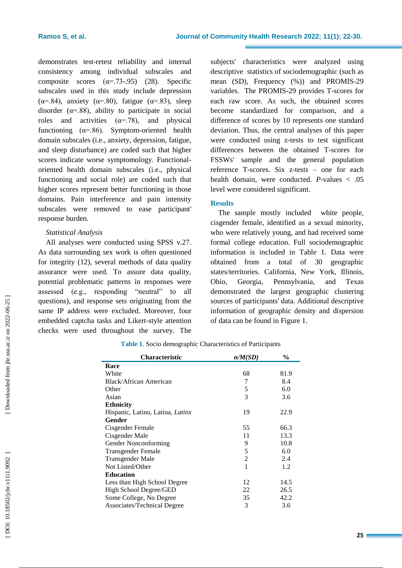demonstrates test -retest reliability and internal consistency among individual subscales and composite scores  $(\alpha = .73-.95)$  (28). Specific subscales used in this study include depression ( $\alpha$ =.84), anxiety ( $\alpha$ =.80), fatigue ( $\alpha$ =.83), sleep disorder  $(\alpha = 88)$ , ability to participate in social roles and activities  $(\alpha = .78)$ , and physical functioning  $(\alpha = .86)$ . Symptom-oriented health domain subscale s (i.e., anxiety, depression, fatigue, and sleep disturbance) are coded such that higher scores indicate worse symptomology. Functional oriented health domain subscales (i.e., physical functioning and social role) are coded such that higher scores represent better functioning in those domains. Pain interference and pain intensity subscales were removed to ease participant' response burden.

## *Statistical Analysis*

All analyses were conducted using SPSS v.27. As data surrounding sex work is often questioned for integrity (12), several methods of data quality assurance were used. To assure data quality, potential problematic patterns in responses were assessed (e.g., responding "neutral" to all questions), and response sets originating from the same IP address were excluded. Moreover, four embedded captcha tasks and Likert -style attention checks were used throughout the survey. The

subjects' characteristics were analyzed using descriptive statistics of sociodemographic (such as mean (SD), Frequency (%) ) and PROMIS -29 variables. The PROMIS -29 provides T -scores for each raw score. As such, the obtained scores become standardized for comparison , and a difference of scores by 10 represent s one standard deviation. Thus, the central analyses of this paper were conducted using z -tests to test significant differences between the obtained T -scores for FSSWs' sample and the general population reference T -scores. Six z -tests – one for each health domain, were conducted . *P -*values < .05 level were considered significan t .

## **Results**

The sample mostly included white people, cisgender female, identified as a sexual minority, who were relatively young, and had received some formal college education. Full sociodemographic information i s included in Table 1. Data were obtained from a total of 30 geographic states/territories. California, New York, Illinois, Ohio, Georgia, Pennsylvania, and Texas demonstrated the largest geographic clustering sources of participants' data. Additional descriptive information of geographic density and dispersion of data can be found in Figure 1.

| <b>Characteristic</b>            | n/M(SD)        | $\%$ |
|----------------------------------|----------------|------|
| Race                             |                |      |
| White                            | 68             | 81.9 |
| Black/African American           | 7              | 8.4  |
| Other                            | 5              | 6.0  |
| Asian                            | 3              | 3.6  |
| <b>Ethnicity</b>                 |                |      |
| Hispanic, Latino, Latina, Latinx | 19             | 22.9 |
| Gender                           |                |      |
| Cisgender Female                 | 55             | 66.3 |
| Cisgender Male                   | 11             | 13.3 |
| Gender Nonconforming             | 9              | 10.8 |
| <b>Transgender Female</b>        | 5              | 6.0  |
| Transgender Male                 | $\overline{2}$ | 2.4  |
| Not Listed/Other                 | 1              | 1.2  |
| <b>Education</b>                 |                |      |
| Less than High School Degree     | 12             | 14.5 |
| High School Degree/GED           | 22             | 26.5 |
| Some College, No Degree          | 35             | 42.2 |
| Associates/Technical Degree      | 3              | 3.6  |

**Table 1.** Socio demographic Characteristics of Participants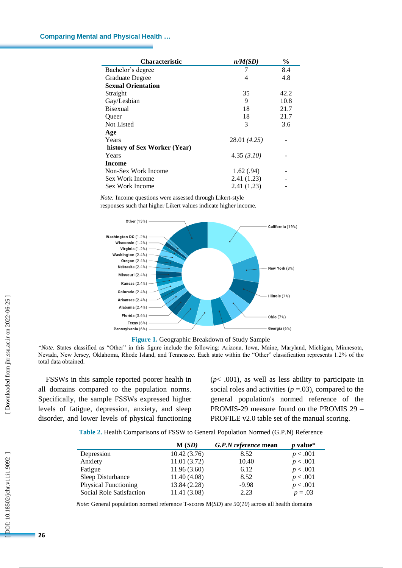| <b>Characteristic</b>        | n/M(SD)      | $\frac{0}{0}$ |
|------------------------------|--------------|---------------|
| Bachelor's degree            | 7            | 8.4           |
| Graduate Degree              | 4            | 4.8           |
| <b>Sexual Orientation</b>    |              |               |
| Straight                     | 35           | 42.2          |
| Gay/Lesbian                  | 9            | 10.8          |
| <b>Bisexual</b>              | 18           | 21.7          |
| Queer                        | 18           | 21.7          |
| <b>Not Listed</b>            | 3            | 3.6           |
| Age                          |              |               |
| Years                        | 28.01 (4.25) |               |
| history of Sex Worker (Year) |              |               |
| Years                        | 4.35(3.10)   |               |
| Income                       |              |               |
| Non-Sex Work Income          | 1.62(.94)    |               |
| Sex Work Income              | 2.41(1.23)   |               |
| Sex Work Income              | 2.41(1.23)   |               |

*Note:* Income questions were assessed through Likert -style

responses such that higher Likert values indicate higher income.



**Figure 1.** Geographic Breakdown of Study Sample

*\*Note.* States classified as "Other" in this figure include the following: Arizona, Iowa, Maine, Maryland, Michigan, Minnesota, Nevada, New Jersey, Oklahoma, Rhode Island, and Tennessee. Each state within the "Other" classification represents 1.2% of the total data obtained.

FSSW s in this sample reported poorer health in all domains compared to the population norms. Specifically, the sample FSSW s expressed higher levels of fatigue, depression, anxiety, and sleep disorder, and lower levels of physical functioning

 $(p< .001)$ , as well as less ability to participate in social roles and activities  $(p = .03)$ , compared to the general population's normed reference of the PROMIS -29 measure found on the PROMIS 29 – PROFILE v2.0 table set of the manual scoring.

**Table 2.** Health Comparisons of FSSW to General Population Normed (G.P.N) Reference

|                             | M(SD)        | G.P.N reference mean | <i>p</i> value* |
|-----------------------------|--------------|----------------------|-----------------|
| Depression                  | 10.42(3.76)  | 8.52                 | p < .001        |
| Anxiety                     | 11.01(3.72)  | 10.40                | p < .001        |
| Fatigue                     | 11.96(3.60)  | 6.12                 | p < .001        |
| Sleep Disturbance           | 11.40(4.08)  | 8.52                 | p < .001        |
| <b>Physical Functioning</b> | 13.84 (2.28) | $-9.98$              | p < .001        |
| Social Role Satisfaction    | 11.41 (3.08) | 2.23                 | $p = .03$       |

*Note*: General population normed reference T -scores M(*SD*) are 50(*10*) across all health domains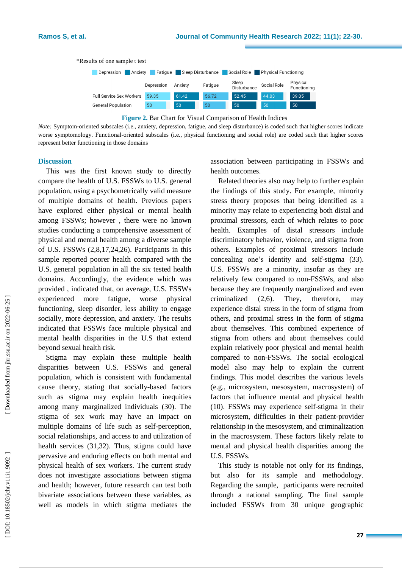

**Figure 2.** Bar Chart for Visual Comparison of Health Indices

*Note:* Symptom -oriented subscales (i.e., anxiety, depression, fatigue, and sleep disturbance) is coded such that higher scores indicate worse symptomology. Functional -oriented subscales (i.e., physical functioning and social role) are coded such that higher scores represent better functioning in those domains

#### **Discussion**

This was the first known study to directly compare the health of U.S. FSSW s to U.S. general population, using a psychometrically valid measure of multiple domains of health. Previous papers have explored either physical or mental health among FSSWs; however , there were no known studies conducting a comprehensive assessment of physical and mental health among a diverse sample of U.S. FSSW s (2,8,17,24,26). Participants in this sample reported poorer health compared with the U.S. general population in all the six tested health domains. Accordingly, the evidence which was provided , indicated that, on average, U.S. FSSW s experienced more fatigue, worse physical functioning, sleep disorder, less ability to engage socially, more depression, and anxiety. The results indicate d that FSSW s face multiple physical and mental health disparities in the U.S that extend beyond sexual health risk.

Stigma may explain these multiple health disparities between U.S. FSSW s and general population , which is consistent with fundamental cause theory, stating that socially -based factors such as stigma may explain health inequities among many marginalized individuals (30). The stigma of sex work may have an impact on multiple domains of life such as self -perception, social relationships, and access to and utilization of health services (31,32). Thus, stigma could have pervasive and enduring effects on both mental and physical health of sex workers. The current study does not investigate associations between stigma and health; however , future research can test both bivariate associations between these variables, as well as models in which stigma mediates the

association between participating in FSSW s and health outcomes.

Related theories also may help to further explain the findings of this study. For example, minority stress theory proposes that being identified as a minority may relate to experiencing both distal and proximal stressors, each of which relates to poor health. Examples of distal stressors include discriminatory behavior, violence, and stigma from others. Examples of proximal stressors include concealing one's identity and self-stigma (33). U.S. FSSW s are a minority, insofar as they are relatively few compared to non -FSSW s, and also because they are frequently marginalized and even criminalized (2,6). They therefore. may experience distal stress in the form of stigma from others, and proximal stress in the form of stigma about themselves. This combined experience of stigma from others and about themselves could explain relatively poor physical and mental health compared to non -FSSW s. The social ecological model also may help to explain the current findings. This model describes the various levels (e.g., microsystem, mesosystem, macrosystem) of factors that influence mental and physical health (10). FSSW s may experience self-stigma in their microsystem, difficulties in their patient -provider relationship in the mesosystem, and criminalization in the macrosystem. These factors likely relate to mental and physical health disparities among the U.S. FSSW s.

This study is notable not only for its findings, but also for its sample and methodology. Regarding the sample, participants were recruited through a national sampling. The final sample included FSSW s from 30 unique geographic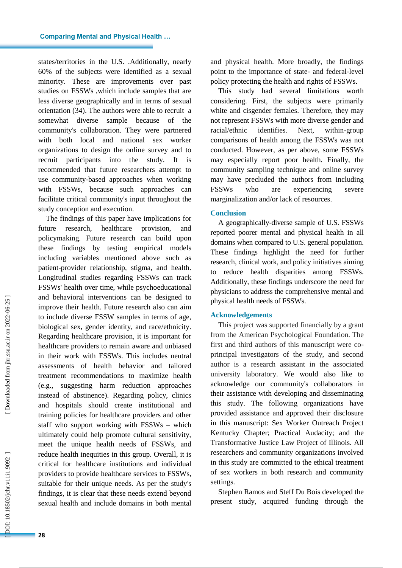states/territories in the U.S. .Additionally, nearly 60% of the subjects were identified as a sexual minority. These are improvements over past studies on FSSW s ,which include samples that are less diverse geographically and in terms of sexual orientation (34). The authors were able to recruit a somewhat diverse sample because of the community's collaboration. They were partnered with both local and national sex worker organizations to design the online survey and to recruit participants into the study. It is recommended that future researchers attempt to use community -based approaches when working with FSSW s, because such approaches can facilitate critical community's input throughout the study conception and execution.

The findings of this paper have implications for future research, healthcare provision, and policymaking. Future research can build upon these findings by testing empirical models including variables mentioned above such as patient -provider relationship, stigma, and health. Longitudinal studies regarding FSSW s can track FSSWs' health over time, while psychoeducational and behavioral interventions can be designed to improve their health. Future research also can aim to include diverse FSSW samples in terms of age, biological sex , gender identity, and race/ethnicity. Regarding healthcare provision, it is important for healthcare providers to remain aware and unbiased in their work with FSSW s. This includes neutral assessments of health behavior and tailored treatment recommendations to maximize health (e.g., suggesting harm reduction approaches instead of abstinence). Regarding policy, clinics and hospitals should create institutional and training policies for healthcare providers and other staff who support working with FSSW s – which ultimately could help promote cultural sensitivity, meet the unique health needs of FSSW s, and reduce health inequities in this group. Overall, it is critical for healthcare institutions and individual providers to provide healthcare services to FSSW s , suitable for their unique needs. As per the study's findings, it is clear that these needs extend beyond sexual health and include domains in both mental

and physical health. More broadly, the findings point to the importance of state - and federal -level policy protecting the health and rights of FSSW s.

This study had several limitations worth considering. First, the subjects were primarily white and cisgender females. Therefore, they may not represent FSSW s with more diverse gender and racial/ethnic identifies. Next, within-group comparisons of health among the FSSWs was not conducted. However , as per above, some FSSW s may especially report poor health. Finally, the community sampling technique and online survey may have precluded the authors from including **FSSWs** who are experiencing severe marginalization and/or lack of resources.

#### **Conclusion**

A geographically -diverse sample of U.S. FSSW s reported poorer mental and physical health in all domains when compared to U.S. general population. These findings highlight the need for further research, clinical work, and policy initiatives aiming to reduce health disparities among FSSW s. Additionally, these findings underscore the need for physicians to address the comprehensive mental and physical health needs of FSSW s.

## **Acknowledgements**

This project was supported financially by a grant from the American Psychological Foundation. The first and third authors of this manuscript were coprincipal investigators of the study, and second author is a research assistant in the associated university laboratory. We would also like to acknowledge our community's collaborators in their assistance with developing and disseminating this study. The following organizations have provided assistance and approved their disclosure in this manuscript: Sex Worker Outreach Project Kentucky Chapter; Practical Audacity; and the Transformative Justice Law Project of Illinois. All researchers and community organizations involved in this study are committed to the ethical treatment of sex workers in both research and community settings.

Stephen Ramos and Steff Du Bois developed the present study, acquired funding through the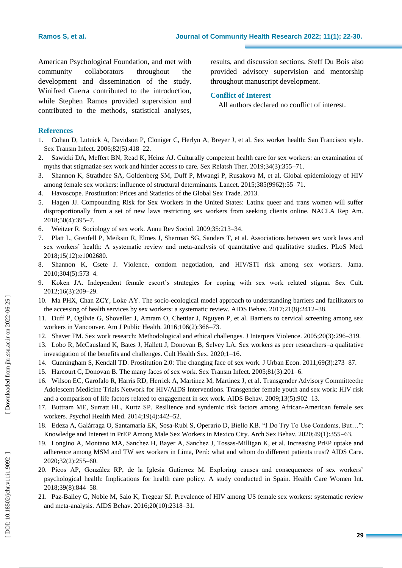American Psychological Foundation, and met with community collaborators throughout development and dissemination of the study. Winifred Guerra contributed to the introduction, while Stephen Ramos provided supervision and contributed to the methods, statistical analyses, results, and discussion sections. Steff Du Bois also provided advisory supervision and mentorship throughout manuscript development.

# **Conflict of Interest**

All authors declare d no conflict of interest.

# **References**

- 1. Cohan D, Lutnick A, Davidson P, Cloniger C, Herlyn A, Breyer J, et al. Sex worker health: San Francisco style. Sex Transm Infect. 2006;82(5):418 –22.
- 2. Sawicki DA, Meffert BN, Read K, Heinz AJ. Culturally competent health care for sex workers: an examination of myths that stigmatize sex work and hinder access to care. Sex Relatsh Ther. 2019;34(3):355 –71.
- 3. Shannon K, Strathdee SA, Goldenberg SM, Duff P, Mwangi P, Rusakova M, et al. Global epidemiology of HIV among female sex workers: influence of structural determinants. Lancet. 2015;385(9962):55 –71.
- 4. Havoscope. Prostitution: Prices and Statistics of the Global Sex Trade. 2013.
- 5. Hagen JJ. Compounding Risk for Sex Workers in the United States: Latinx queer and trans women will suffer disproportionally from a set of new laws restricting sex workers from seeking clients online. NACLA Rep Am. 2018;50(4):395 –7.
- 6. Weitzer R. Sociology of sex work. Annu Rev Sociol. 2009;35:213 –34.
- 7. Platt L, Grenfell P, Meiksin R, Elmes J, Sherman SG, Sanders T, et al. Associations between sex work laws and sex workers' health: A systematic review and meta -analysis of quantitative and qualitative studies. PLoS Med. 2018;15(12):e1002680.
- 8. Shannon K, Csete J. Violence, condom negotiation, and HIV/STI risk among sex workers. Jama. 2010;304(5):573 –4.
- 9. Koken JA. Independent female escort's strategies for coping with sex work related stigma. Sex Cult. 2012;16(3):209 –29.
- 10. Ma PHX, Chan ZCY, Loke AY. The socio -ecological model approach to understanding barriers and facilitators to the accessing of health services by sex workers: a systematic review. AIDS Behav. 2017;21(8):2412 –38.
- 11. Duff P, Ogilvie G, Shoveller J, Amram O, Chettiar J, Nguyen P, et al. Barriers to cervical screening among sex workers in Vancouver. Am J Public Health. 2016;106(2):366 –73.
- 12. Shaver FM. Sex work research: Methodological and ethical challenges. J Interpers Violence. 2005;20(3):296 –319.
- 13. Lobo R, McCausland K, Bates J, Hallett J, Donovan B, Selvey LA. Sex workers as peer researchers –a qualitative investigation of the benefits and challenges. Cult Health Sex. 2020;1 –16.
- 14. Cunningham S, Kendall TD. Prostitution 2.0: The changing face of sex work. J Urban Econ. 2011;69(3):273 –87.
- 15. Harcourt C, Donovan B. The many faces of sex work. Sex Transm Infect. 2005;81(3):201 –6.
- 16. Wilson EC, Garofalo R, Harris RD, Herrick A, Martinez M, Martinez J, et al. Transgender Advisory Committeethe Adolescent Medicine Trials Network for HIV/AIDS Interventions. Transgender female youth and sex work: HIV risk and a comparison of life factors related to engagement in sex work. AIDS Behav. 2009;13(5):902 –13.
- 17. Buttram ME, Surratt HL, Kurtz SP. Resilience and syndemic risk factors among African -American female sex workers. Psychol Health Med. 2014;19(4):442 –52.
- 18. Edeza A, Galárraga O, Santamaria EK, Sosa -Rubí S, Operario D, Biello KB. "I Do Try To Use Condoms, But…": Knowledge and Interest in PrEP Among Male Sex Workers in Mexico City. Arch Sex Behav. 2020;49(1):355 –63.
- 19. Longino A, Montano MA, Sanchez H, Bayer A, Sanchez J, Tossas -Milligan K, et al. Increasing PrEP uptake and adherence among MSM and TW sex workers in Lima, Perú: what and whom do different patients trust? AIDS Care. 2020;32(2):255 –60.
- 20. Picos AP, González RP, de la Iglesia Gutierrez M. Exploring causes and consequences of sex workers' psychological health: Implications for health care policy. A study conducted in Spain. Health Care Women Int. 2018;39(8):844 –58.
- 21. Paz -Bailey G, Noble M, Salo K, Tregear SJ. Prevalence of HIV among US female sex workers: systematic review and meta -analysis. AIDS Behav. 2016;20(10):2318 –31.